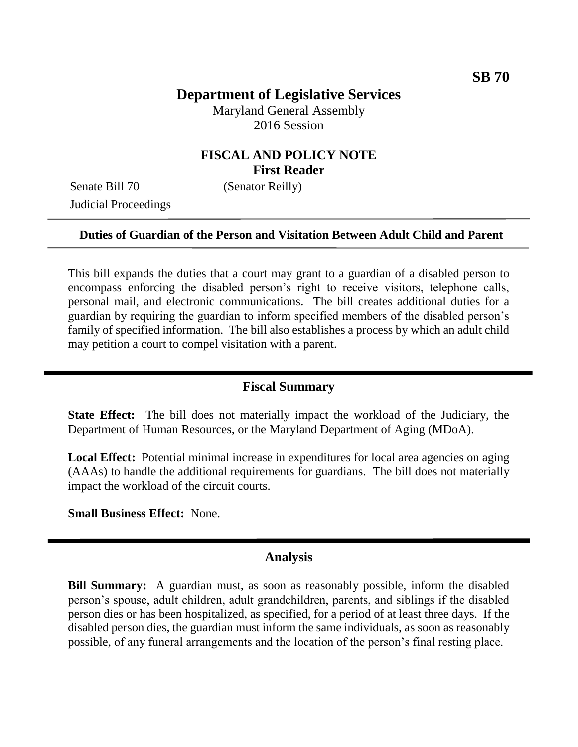# **Department of Legislative Services**

Maryland General Assembly 2016 Session

## **FISCAL AND POLICY NOTE First Reader**

Senate Bill 70 (Senator Reilly) Judicial Proceedings

### **Duties of Guardian of the Person and Visitation Between Adult Child and Parent**

This bill expands the duties that a court may grant to a guardian of a disabled person to encompass enforcing the disabled person's right to receive visitors, telephone calls, personal mail, and electronic communications. The bill creates additional duties for a guardian by requiring the guardian to inform specified members of the disabled person's family of specified information. The bill also establishes a process by which an adult child may petition a court to compel visitation with a parent.

#### **Fiscal Summary**

**State Effect:** The bill does not materially impact the workload of the Judiciary, the Department of Human Resources, or the Maryland Department of Aging (MDoA).

**Local Effect:** Potential minimal increase in expenditures for local area agencies on aging (AAAs) to handle the additional requirements for guardians. The bill does not materially impact the workload of the circuit courts.

**Small Business Effect:** None.

#### **Analysis**

**Bill Summary:** A guardian must, as soon as reasonably possible, inform the disabled person's spouse, adult children, adult grandchildren, parents, and siblings if the disabled person dies or has been hospitalized, as specified, for a period of at least three days. If the disabled person dies, the guardian must inform the same individuals, as soon as reasonably possible, of any funeral arrangements and the location of the person's final resting place.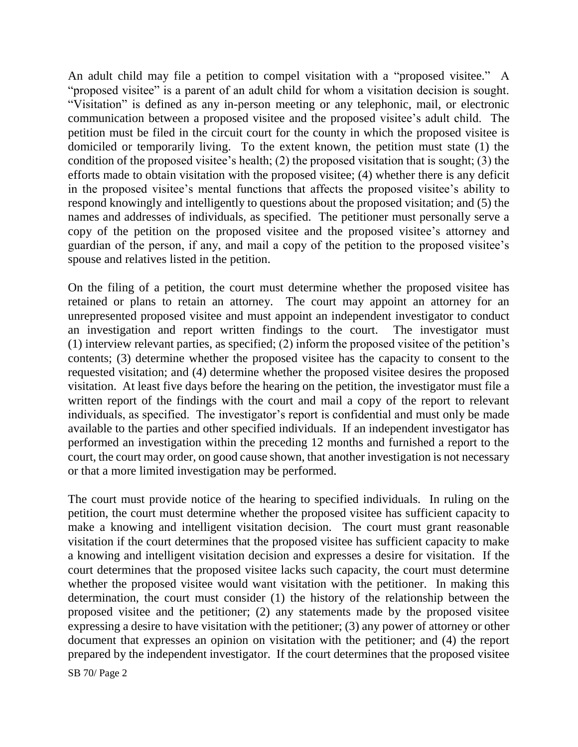An adult child may file a petition to compel visitation with a "proposed visitee." A "proposed visitee" is a parent of an adult child for whom a visitation decision is sought. "Visitation" is defined as any in-person meeting or any telephonic, mail, or electronic communication between a proposed visitee and the proposed visitee's adult child. The petition must be filed in the circuit court for the county in which the proposed visitee is domiciled or temporarily living. To the extent known, the petition must state (1) the condition of the proposed visitee's health; (2) the proposed visitation that is sought; (3) the efforts made to obtain visitation with the proposed visitee; (4) whether there is any deficit in the proposed visitee's mental functions that affects the proposed visitee's ability to respond knowingly and intelligently to questions about the proposed visitation; and (5) the names and addresses of individuals, as specified. The petitioner must personally serve a copy of the petition on the proposed visitee and the proposed visitee's attorney and guardian of the person, if any, and mail a copy of the petition to the proposed visitee's spouse and relatives listed in the petition.

On the filing of a petition, the court must determine whether the proposed visitee has retained or plans to retain an attorney. The court may appoint an attorney for an unrepresented proposed visitee and must appoint an independent investigator to conduct an investigation and report written findings to the court. The investigator must (1) interview relevant parties, as specified; (2) inform the proposed visitee of the petition's contents; (3) determine whether the proposed visitee has the capacity to consent to the requested visitation; and (4) determine whether the proposed visitee desires the proposed visitation. At least five days before the hearing on the petition, the investigator must file a written report of the findings with the court and mail a copy of the report to relevant individuals, as specified. The investigator's report is confidential and must only be made available to the parties and other specified individuals. If an independent investigator has performed an investigation within the preceding 12 months and furnished a report to the court, the court may order, on good cause shown, that another investigation is not necessary or that a more limited investigation may be performed.

The court must provide notice of the hearing to specified individuals. In ruling on the petition, the court must determine whether the proposed visitee has sufficient capacity to make a knowing and intelligent visitation decision. The court must grant reasonable visitation if the court determines that the proposed visitee has sufficient capacity to make a knowing and intelligent visitation decision and expresses a desire for visitation. If the court determines that the proposed visitee lacks such capacity, the court must determine whether the proposed visitee would want visitation with the petitioner. In making this determination, the court must consider (1) the history of the relationship between the proposed visitee and the petitioner; (2) any statements made by the proposed visitee expressing a desire to have visitation with the petitioner; (3) any power of attorney or other document that expresses an opinion on visitation with the petitioner; and (4) the report prepared by the independent investigator. If the court determines that the proposed visitee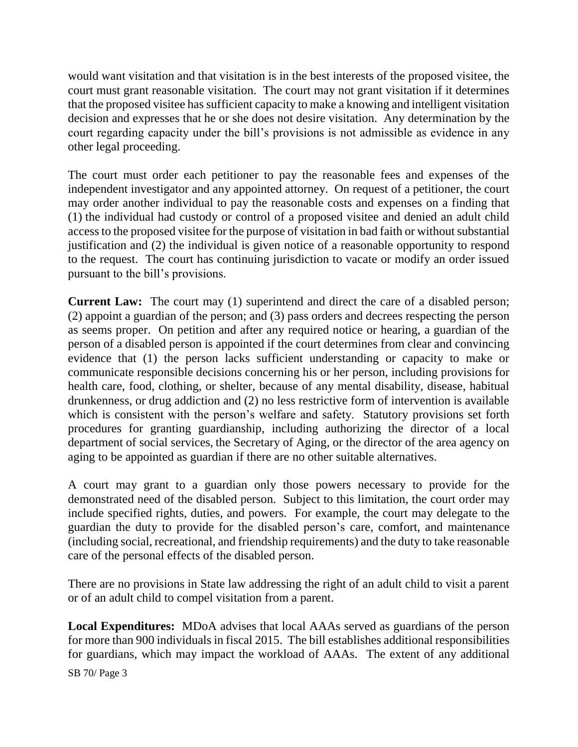would want visitation and that visitation is in the best interests of the proposed visitee, the court must grant reasonable visitation. The court may not grant visitation if it determines that the proposed visitee has sufficient capacity to make a knowing and intelligent visitation decision and expresses that he or she does not desire visitation. Any determination by the court regarding capacity under the bill's provisions is not admissible as evidence in any other legal proceeding.

The court must order each petitioner to pay the reasonable fees and expenses of the independent investigator and any appointed attorney. On request of a petitioner, the court may order another individual to pay the reasonable costs and expenses on a finding that (1) the individual had custody or control of a proposed visitee and denied an adult child access to the proposed visitee for the purpose of visitation in bad faith or without substantial justification and (2) the individual is given notice of a reasonable opportunity to respond to the request. The court has continuing jurisdiction to vacate or modify an order issued pursuant to the bill's provisions.

**Current Law:** The court may (1) superintend and direct the care of a disabled person; (2) appoint a guardian of the person; and (3) pass orders and decrees respecting the person as seems proper. On petition and after any required notice or hearing, a guardian of the person of a disabled person is appointed if the court determines from clear and convincing evidence that (1) the person lacks sufficient understanding or capacity to make or communicate responsible decisions concerning his or her person, including provisions for health care, food, clothing, or shelter, because of any mental disability, disease, habitual drunkenness, or drug addiction and (2) no less restrictive form of intervention is available which is consistent with the person's welfare and safety. Statutory provisions set forth procedures for granting guardianship, including authorizing the director of a local department of social services, the Secretary of Aging, or the director of the area agency on aging to be appointed as guardian if there are no other suitable alternatives.

A court may grant to a guardian only those powers necessary to provide for the demonstrated need of the disabled person. Subject to this limitation, the court order may include specified rights, duties, and powers. For example, the court may delegate to the guardian the duty to provide for the disabled person's care, comfort, and maintenance (including social, recreational, and friendship requirements) and the duty to take reasonable care of the personal effects of the disabled person.

There are no provisions in State law addressing the right of an adult child to visit a parent or of an adult child to compel visitation from a parent.

**Local Expenditures:** MDoA advises that local AAAs served as guardians of the person for more than 900 individuals in fiscal 2015. The bill establishes additional responsibilities for guardians, which may impact the workload of AAAs. The extent of any additional

SB 70/ Page 3